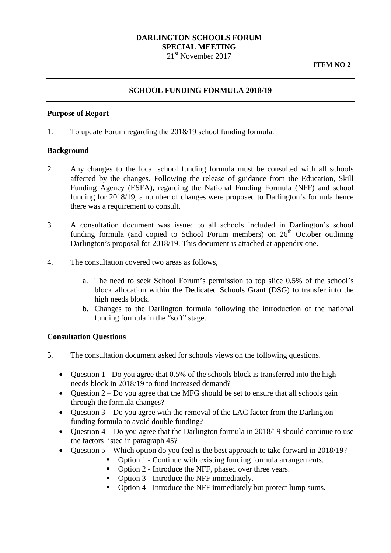# **DARLINGTON SCHOOLS FORUM SPECIAL MEETING**

21<sup>st</sup> November 2017

# **SCHOOL FUNDING FORMULA 2018/19**

#### **Purpose of Report**

1. To update Forum regarding the 2018/19 school funding formula.

#### **Background**

- 2. Any changes to the local school funding formula must be consulted with all schools affected by the changes. Following the release of guidance from the Education, Skill Funding Agency (ESFA), regarding the National Funding Formula (NFF) and school funding for 2018/19, a number of changes were proposed to Darlington's formula hence there was a requirement to consult.
- 3. A consultation document was issued to all schools included in Darlington's school funding formula (and copied to School Forum members) on  $26<sup>th</sup>$  October outlining Darlington's proposal for 2018/19. This document is attached at appendix one.
- 4. The consultation covered two areas as follows,
	- a. The need to seek School Forum's permission to top slice 0.5% of the school's block allocation within the Dedicated Schools Grant (DSG) to transfer into the high needs block.
	- b. Changes to the Darlington formula following the introduction of the national funding formula in the "soft" stage.

### **Consultation Questions**

- 5. The consultation document asked for schools views on the following questions.
	- Question 1 Do you agree that 0.5% of the schools block is transferred into the high needs block in 2018/19 to fund increased demand?
	- Question  $2 Do$  you agree that the MFG should be set to ensure that all schools gain through the formula changes?
	- Question 3 Do you agree with the removal of the LAC factor from the Darlington funding formula to avoid double funding?
	- Ouestion  $4 Do$  you agree that the Darlington formula in 2018/19 should continue to use the factors listed in paragraph 45?
	- Question 5 Which option do you feel is the best approach to take forward in 2018/19?
		- Option 1 Continue with existing funding formula arrangements.
		- Option 2 Introduce the NFF, phased over three years.
		- Option 3 Introduce the NFF immediately.
		- Option 4 Introduce the NFF immediately but protect lump sums.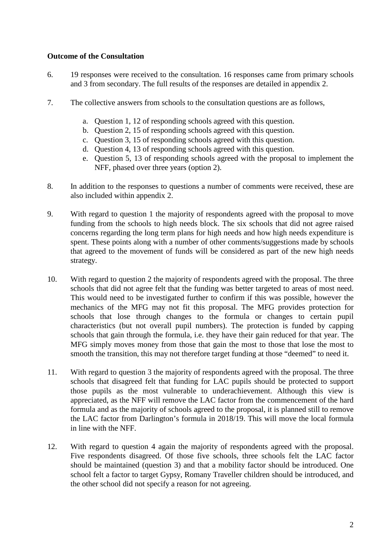### **Outcome of the Consultation**

- 6. 19 responses were received to the consultation. 16 responses came from primary schools and 3 from secondary. The full results of the responses are detailed in appendix 2.
- 7. The collective answers from schools to the consultation questions are as follows,
	- a. Question 1, 12 of responding schools agreed with this question.
	- b. Question 2, 15 of responding schools agreed with this question.
	- c. Question 3, 15 of responding schools agreed with this question.
	- d. Question 4, 13 of responding schools agreed with this question.
	- e. Question 5, 13 of responding schools agreed with the proposal to implement the NFF, phased over three years (option 2).
- 8. In addition to the responses to questions a number of comments were received, these are also included within appendix 2.
- 9. With regard to question 1 the majority of respondents agreed with the proposal to move funding from the schools to high needs block. The six schools that did not agree raised concerns regarding the long term plans for high needs and how high needs expenditure is spent. These points along with a number of other comments/suggestions made by schools that agreed to the movement of funds will be considered as part of the new high needs strategy.
- 10. With regard to question 2 the majority of respondents agreed with the proposal. The three schools that did not agree felt that the funding was better targeted to areas of most need. This would need to be investigated further to confirm if this was possible, however the mechanics of the MFG may not fit this proposal. The MFG provides protection for schools that lose through changes to the formula or changes to certain pupil characteristics (but not overall pupil numbers). The protection is funded by capping schools that gain through the formula, i.e. they have their gain reduced for that year. The MFG simply moves money from those that gain the most to those that lose the most to smooth the transition, this may not therefore target funding at those "deemed" to need it.
- 11. With regard to question 3 the majority of respondents agreed with the proposal. The three schools that disagreed felt that funding for LAC pupils should be protected to support those pupils as the most vulnerable to underachievement. Although this view is appreciated, as the NFF will remove the LAC factor from the commencement of the hard formula and as the majority of schools agreed to the proposal, it is planned still to remove the LAC factor from Darlington's formula in 2018/19. This will move the local formula in line with the NFF.
- 12. With regard to question 4 again the majority of respondents agreed with the proposal. Five respondents disagreed. Of those five schools, three schools felt the LAC factor should be maintained (question 3) and that a mobility factor should be introduced. One school felt a factor to target Gypsy, Romany Traveller children should be introduced, and the other school did not specify a reason for not agreeing.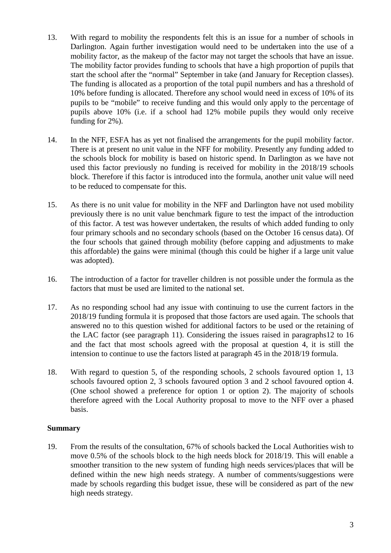- 13. With regard to mobility the respondents felt this is an issue for a number of schools in Darlington. Again further investigation would need to be undertaken into the use of a mobility factor, as the makeup of the factor may not target the schools that have an issue. The mobility factor provides funding to schools that have a high proportion of pupils that start the school after the "normal" September in take (and January for Reception classes). The funding is allocated as a proportion of the total pupil numbers and has a threshold of 10% before funding is allocated. Therefore any school would need in excess of 10% of its pupils to be "mobile" to receive funding and this would only apply to the percentage of pupils above 10% (i.e. if a school had 12% mobile pupils they would only receive funding for 2%).
- 14. In the NFF, ESFA has as yet not finalised the arrangements for the pupil mobility factor. There is at present no unit value in the NFF for mobility. Presently any funding added to the schools block for mobility is based on historic spend. In Darlington as we have not used this factor previously no funding is received for mobility in the 2018/19 schools block. Therefore if this factor is introduced into the formula, another unit value will need to be reduced to compensate for this.
- 15. As there is no unit value for mobility in the NFF and Darlington have not used mobility previously there is no unit value benchmark figure to test the impact of the introduction of this factor. A test was however undertaken, the results of which added funding to only four primary schools and no secondary schools (based on the October 16 census data). Of the four schools that gained through mobility (before capping and adjustments to make this affordable) the gains were minimal (though this could be higher if a large unit value was adopted).
- 16. The introduction of a factor for traveller children is not possible under the formula as the factors that must be used are limited to the national set.
- 17. As no responding school had any issue with continuing to use the current factors in the 2018/19 funding formula it is proposed that those factors are used again. The schools that answered no to this question wished for additional factors to be used or the retaining of the LAC factor (see paragraph 11). Considering the issues raised in paragraphs12 to 16 and the fact that most schools agreed with the proposal at question 4, it is still the intension to continue to use the factors listed at paragraph 45 in the 2018/19 formula.
- 18. With regard to question 5, of the responding schools, 2 schools favoured option 1, 13 schools favoured option 2, 3 schools favoured option 3 and 2 school favoured option 4. (One school showed a preference for option 1 or option 2). The majority of schools therefore agreed with the Local Authority proposal to move to the NFF over a phased basis.

# **Summary**

19. From the results of the consultation, 67% of schools backed the Local Authorities wish to move 0.5% of the schools block to the high needs block for 2018/19. This will enable a smoother transition to the new system of funding high needs services/places that will be defined within the new high needs strategy. A number of comments/suggestions were made by schools regarding this budget issue, these will be considered as part of the new high needs strategy.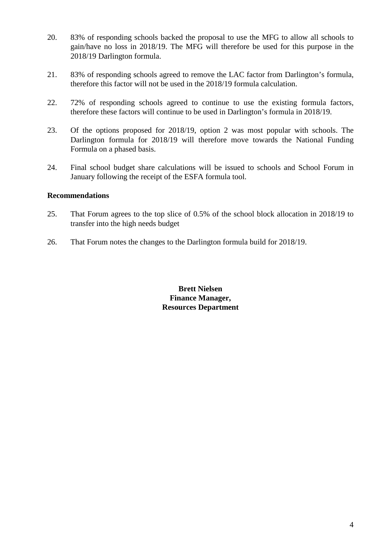- 20. 83% of responding schools backed the proposal to use the MFG to allow all schools to gain/have no loss in 2018/19. The MFG will therefore be used for this purpose in the 2018/19 Darlington formula.
- 21. 83% of responding schools agreed to remove the LAC factor from Darlington's formula, therefore this factor will not be used in the 2018/19 formula calculation.
- 22. 72% of responding schools agreed to continue to use the existing formula factors, therefore these factors will continue to be used in Darlington's formula in 2018/19.
- 23. Of the options proposed for 2018/19, option 2 was most popular with schools. The Darlington formula for 2018/19 will therefore move towards the National Funding Formula on a phased basis.
- 24. Final school budget share calculations will be issued to schools and School Forum in January following the receipt of the ESFA formula tool.

# **Recommendations**

- 25. That Forum agrees to the top slice of 0.5% of the school block allocation in 2018/19 to transfer into the high needs budget
- 26. That Forum notes the changes to the Darlington formula build for 2018/19.

**Brett Nielsen Finance Manager, Resources Department**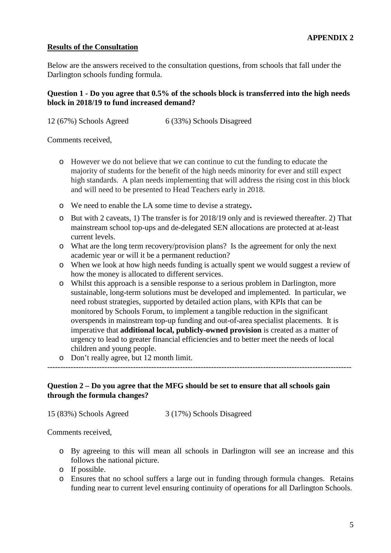### **Results of the Consultation**

Below are the answers received to the consultation questions, from schools that fall under the Darlington schools funding formula.

# **Question 1 - Do you agree that 0.5% of the schools block is transferred into the high needs block in 2018/19 to fund increased demand?**

12 (67%) Schools Agreed 6 (33%) Schools Disagreed

Comments received,

- o However we do not believe that we can continue to cut the funding to educate the majority of students for the benefit of the high needs minority for ever and still expect high standards. A plan needs implementing that will address the rising cost in this block and will need to be presented to Head Teachers early in 2018.
- o We need to enable the LA some time to devise a strategy**.**
- o But with 2 caveats, 1) The transfer is for 2018/19 only and is reviewed thereafter. 2) That mainstream school top-ups and de-delegated SEN allocations are protected at at-least current levels.
- o What are the long term recovery/provision plans? Is the agreement for only the next academic year or will it be a permanent reduction?
- o When we look at how high needs funding is actually spent we would suggest a review of how the money is allocated to different services.
- o Whilst this approach is a sensible response to a serious problem in Darlington, more sustainable, long-term solutions must be developed and implemented. In particular, we need robust strategies, supported by detailed action plans, with KPIs that can be monitored by Schools Forum, to implement a tangible reduction in the significant overspends in mainstream top-up funding and out-of-area specialist placements. It is imperative that **additional local, publicly-owned provision** is created as a matter of urgency to lead to greater financial efficiencies and to better meet the needs of local children and young people.
- o Don't really agree, but 12 month limit.

# **Question 2 – Do you agree that the MFG should be set to ensure that all schools gain through the formula changes?**

---------------------------------------------------------------------------------------------------------------------

15 (83%) Schools Agreed 3 (17%) Schools Disagreed

Comments received,

- o By agreeing to this will mean all schools in Darlington will see an increase and this follows the national picture.
- o If possible.
- o Ensures that no school suffers a large out in funding through formula changes. Retains funding near to current level ensuring continuity of operations for all Darlington Schools.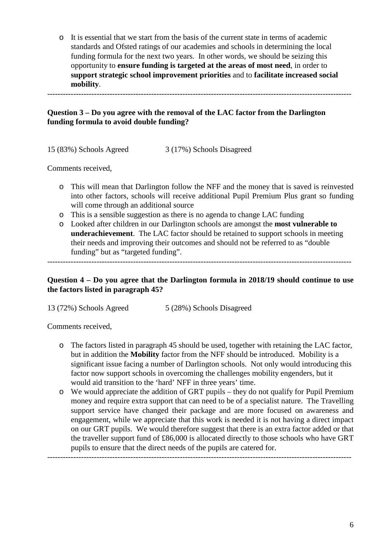o It is essential that we start from the basis of the current state in terms of academic standards and Ofsted ratings of our academies and schools in determining the local funding formula for the next two years. In other words, we should be seizing this opportunity to **ensure funding is targeted at the areas of most need**, in order to **support strategic school improvement priorities** and to **facilitate increased social mobility**.

---------------------------------------------------------------------------------------------------------------------

# **Question 3 – Do you agree with the removal of the LAC factor from the Darlington funding formula to avoid double funding?**

15 (83%) Schools Agreed 3 (17%) Schools Disagreed

Comments received,

- o This will mean that Darlington follow the NFF and the money that is saved is reinvested into other factors, schools will receive additional Pupil Premium Plus grant so funding will come through an additional source
- o This is a sensible suggestion as there is no agenda to change LAC funding
- o Looked after children in our Darlington schools are amongst the **most vulnerable to underachievement**. The LAC factor should be retained to support schools in meeting their needs and improving their outcomes and should not be referred to as "double funding" but as "targeted funding".

---------------------------------------------------------------------------------------------------------------------

# **Question 4 – Do you agree that the Darlington formula in 2018/19 should continue to use the factors listed in paragraph 45?**

13 (72%) Schools Agreed 5 (28%) Schools Disagreed

Comments received,

- o The factors listed in paragraph 45 should be used, together with retaining the LAC factor, but in addition the **Mobility** factor from the NFF should be introduced. Mobility is a significant issue facing a number of Darlington schools. Not only would introducing this factor now support schools in overcoming the challenges mobility engenders, but it would aid transition to the 'hard' NFF in three years' time.
- o We would appreciate the addition of GRT pupils they do not qualify for Pupil Premium money and require extra support that can need to be of a specialist nature. The Travelling support service have changed their package and are more focused on awareness and engagement, while we appreciate that this work is needed it is not having a direct impact on our GRT pupils. We would therefore suggest that there is an extra factor added or that the traveller support fund of £86,000 is allocated directly to those schools who have GRT pupils to ensure that the direct needs of the pupils are catered for.

---------------------------------------------------------------------------------------------------------------------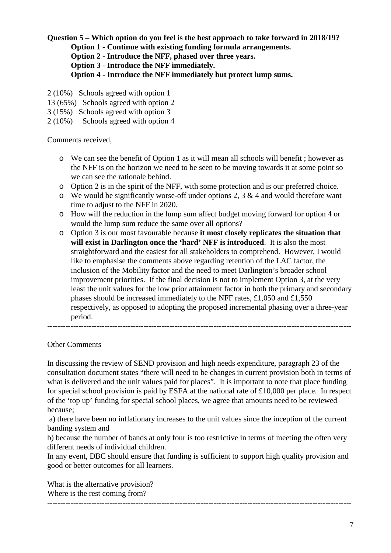# **Question 5 – Which option do you feel is the best approach to take forward in 2018/19?**

**Option 1 - Continue with existing funding formula arrangements.** 

**Option 2 - Introduce the NFF, phased over three years.**

**Option 3 - Introduce the NFF immediately.** 

**Option 4 - Introduce the NFF immediately but protect lump sums.**

- 2 (10%) Schools agreed with option 1
- 13 (65%) Schools agreed with option 2
- 3 (15%) Schools agreed with option 3
- 2 (10%) Schools agreed with option 4

Comments received,

- o We can see the benefit of Option 1 as it will mean all schools will benefit ; however as the NFF is on the horizon we need to be seen to be moving towards it at some point so we can see the rationale behind.
- o Option 2 is in the spirit of the NFF, with some protection and is our preferred choice.
- $\circ$  We would be significantly worse-off under options 2, 3 & 4 and would therefore want time to adjust to the NFF in 2020.
- o How will the reduction in the lump sum affect budget moving forward for option 4 or would the lump sum reduce the same over all options?
- o Option 3 is our most favourable because **it most closely replicates the situation that will exist in Darlington once the 'hard' NFF is introduced**. It is also the most straightforward and the easiest for all stakeholders to comprehend. However, I would like to emphasise the comments above regarding retention of the LAC factor, the inclusion of the Mobility factor and the need to meet Darlington's broader school improvement priorities. If the final decision is not to implement Option 3, at the very least the unit values for the low prior attainment factor in both the primary and secondary phases should be increased immediately to the NFF rates, £1,050 and £1,550 respectively, as opposed to adopting the proposed incremental phasing over a three-year period.

---------------------------------------------------------------------------------------------------------------------

#### Other Comments

In discussing the review of SEND provision and high needs expenditure, paragraph 23 of the consultation document states "there will need to be changes in current provision both in terms of what is delivered and the unit values paid for places". It is important to note that place funding for special school provision is paid by ESFA at the national rate of £10,000 per place. In respect of the 'top up' funding for special school places, we agree that amounts need to be reviewed because;

a) there have been no inflationary increases to the unit values since the inception of the current banding system and

b) because the number of bands at only four is too restrictive in terms of meeting the often very different needs of individual children.

In any event, DBC should ensure that funding is sufficient to support high quality provision and good or better outcomes for all learners.

What is the alternative provision? Where is the rest coming from? ---------------------------------------------------------------------------------------------------------------------